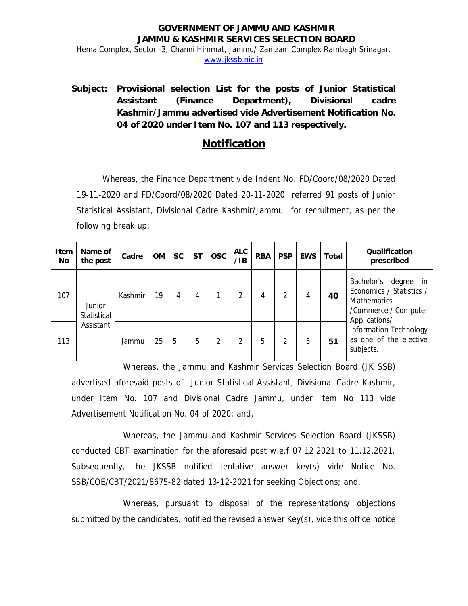## **GOVERNMENT OF JAMMU AND KASHMIR JAMMU & KASHMIR SERVICES SELECTION BOARD**  Hema Complex, Sector -3, Channi Himmat, Jammu/ Zamzam Complex Rambagh Srinagar. www.jkssb.nic.in

**Subject: Provisional selection List for the posts of Junior Statistical Assistant (Finance Department), Divisional cadre Kashmir/Jammu advertised vide Advertisement Notification No. 04 of 2020 under Item No. 107 and 113 respectively.** 

## **Notification**

Whereas, the Finance Department vide Indent No. FD/Coord/08/2020 Dated 19-11-2020 and FD/Coord/08/2020 Dated 20-11-2020 referred 91 posts of Junior Statistical Assistant, Divisional Cadre Kashmir/Jammu for recruitment, as per the following break up:

| I tem<br>No | Name of<br>the post   | Cadre   | <b>OM</b> | <b>SC</b> | <b>ST</b> | <b>OSC</b> | <b>ALC</b><br>$\angle$ IB | <b>RBA</b> | <b>PSP</b> | <b>EWS</b> | Total | <b>Qualification</b><br>prescribed                                                                                 |
|-------------|-----------------------|---------|-----------|-----------|-----------|------------|---------------------------|------------|------------|------------|-------|--------------------------------------------------------------------------------------------------------------------|
| 107         | Junior<br>Statistical | Kashmir | 19        |           | 4         |            | 2                         | 4          | 2          | 4          | 40    | Bachelor's<br>degree in<br>Economics / Statistics /<br><b>Mathematics</b><br>/Commerce / Computer<br>Applications/ |
| 113         | Assistant             | Jammu   | 25        | 5         | 5         |            |                           | 5          | 2          | 5          | 51    | Information Technology<br>as one of the elective<br>subjects.                                                      |

Whereas, the Jammu and Kashmir Services Selection Board (JK SSB) advertised aforesaid posts of Junior Statistical Assistant, Divisional Cadre Kashmir, under Item No. 107 and Divisional Cadre Jammu, under Item No 113 vide Advertisement Notification No. 04 of 2020; and,

Whereas, the Jammu and Kashmir Services Selection Board (JKSSB) conducted CBT examination for the aforesaid post w.e.f 07.12.2021 to 11.12.2021. Subsequently, the JKSSB notified tentative answer key(s) vide Notice No. SSB/COE/CBT/2021/8675-82 dated 13-12-2021 for seeking Objections; and,

Whereas, pursuant to disposal of the representations/ objections submitted by the candidates, notified the revised answer Key(s), vide this office notice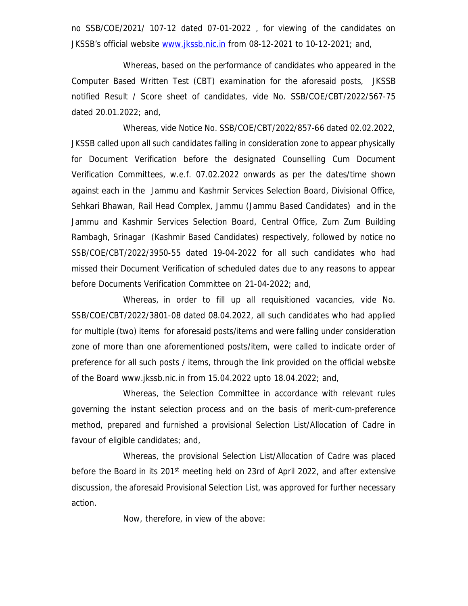no SSB/COE/2021/ 107-12 dated 07-01-2022 , for viewing of the candidates on JKSSB's official website www.jkssb.nic.in from 08-12-2021 to 10-12-2021; and,

Whereas, based on the performance of candidates who appeared in the Computer Based Written Test (CBT) examination for the aforesaid posts, JKSSB notified Result / Score sheet of candidates, vide No. SSB/COE/CBT/2022/567-75 dated 20.01.2022; and,

Whereas, vide Notice No. SSB/COE/CBT/2022/857-66 dated 02.02.2022, JKSSB called upon all such candidates falling in consideration zone to appear physically for Document Verification before the designated Counselling Cum Document Verification Committees, w.e.f. 07.02.2022 onwards as per the dates/time shown against each in the Jammu and Kashmir Services Selection Board, Divisional Office, Sehkari Bhawan, Rail Head Complex, Jammu (Jammu Based Candidates) and in the Jammu and Kashmir Services Selection Board, Central Office, Zum Zum Building Rambagh, Srinagar (Kashmir Based Candidates) respectively, followed by notice no SSB/COE/CBT/2022/3950-55 dated 19-04-2022 for all such candidates who had missed their Document Verification of scheduled dates due to any reasons to appear before Documents Verification Committee on 21-04-2022; and,

Whereas, in order to fill up all requisitioned vacancies, vide No. SSB/COE/CBT/2022/3801-08 dated 08.04.2022, all such candidates who had applied for multiple (two) items for aforesaid posts/items and were falling under consideration zone of more than one aforementioned posts/item, were called to indicate order of preference for all such posts / items, through the link provided on the official website of the Board www.jkssb.nic.in from 15.04.2022 upto 18.04.2022; and,

Whereas, the Selection Committee in accordance with relevant rules governing the instant selection process and on the basis of merit-cum-preference method, prepared and furnished a provisional Selection List/Allocation of Cadre in favour of eligible candidates; and,

Whereas, the provisional Selection List/Allocation of Cadre was placed before the Board in its 201<sup>st</sup> meeting held on 23rd of April 2022, and after extensive discussion, the aforesaid Provisional Selection List, was approved for further necessary action.

Now, therefore, in view of the above: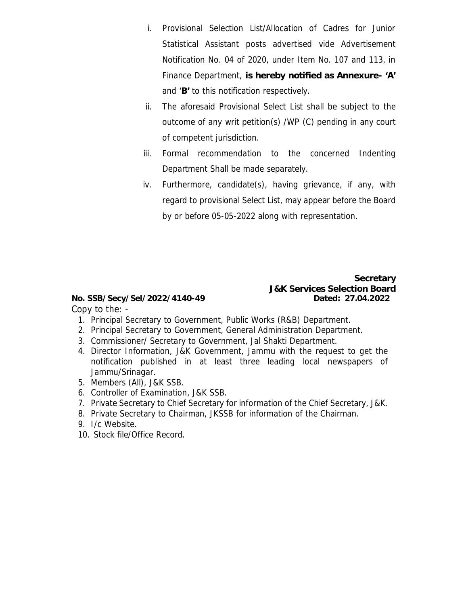- i. Provisional Selection List/Allocation of Cadres for Junior Statistical Assistant posts advertised vide Advertisement Notification No. 04 of 2020, under Item No. 107 and 113, in Finance Department, **is hereby notified as Annexure- 'A'** and '**B'** to this notification respectively.
- ii. The aforesaid Provisional Select List shall be subject to the outcome of any writ petition(s) /WP (C) pending in any court of competent jurisdiction.
- iii. Formal recommendation to the concerned Indenting Department Shall be made separately.
- iv. Furthermore, candidate(s), having grievance, if any, with regard to provisional Select List, may appear before the Board by or before 05-05-2022 along with representation.

 **Secretary J&K Services Selection Board** 

**No. SSB/Secy/Sel/2022/4140-49 Dated: 27.04.2022**  Copy to the: -

- 1. Principal Secretary to Government, Public Works (R&B) Department.
- 2. Principal Secretary to Government, General Administration Department.
- 3. Commissioner/ Secretary to Government, Jal Shakti Department.
- 4. Director Information, J&K Government, Jammu with the request to get the notification published in at least three leading local newspapers of Jammu/Srinagar.
- 5. Members (All), J&K SSB.
- 6. Controller of Examination, J&K SSB.
- 7. Private Secretary to Chief Secretary for information of the Chief Secretary, J&K.
- 8. Private Secretary to Chairman, JKSSB for information of the Chairman.
- 9. I/c Website.
- 10. Stock file/Office Record.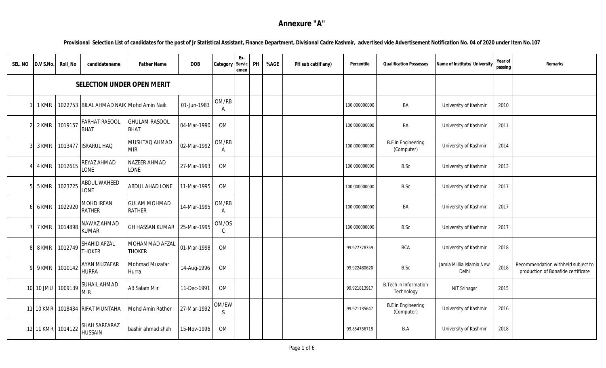## **Annexure "A"**

**Provisional Selection List of candidates for the post of Jr Statistical Assistant, Finance Department, Divisional Cadre Kashmir, advertised vide Advertisement Notification No. 04 of 2020 under Item No.107**

| SEL. NO | D.V S.No. | Roll_No           | candidatename                           | <b>Father Name</b>                  | <b>DOB</b>  | Category               | Ex-<br>Servic<br>emen | PH | %AGE | PH sub cat(if any) | Percentile    | <b>Qualification Possesses</b>             | Name of Institute/ University     | Year of<br>passing | Remarks                                                                  |
|---------|-----------|-------------------|-----------------------------------------|-------------------------------------|-------------|------------------------|-----------------------|----|------|--------------------|---------------|--------------------------------------------|-----------------------------------|--------------------|--------------------------------------------------------------------------|
|         |           |                   | SELECTION UNDER OPEN MERIT              |                                     |             |                        |                       |    |      |                    |               |                                            |                                   |                    |                                                                          |
|         | 1 KMR     |                   | 1022753 BILAL AHMAD NAIK Mohd Amin Naik |                                     | 01-Jun-1983 | OM/RB<br>A             |                       |    |      |                    | 100.000000000 | BA                                         | University of Kashmir             | 2010               |                                                                          |
|         | 2 KMR     | 1019157           | <b>FARHAT RASOOL</b><br><b>BHAT</b>     | <b>GHULAM RASOOL</b><br><b>BHAT</b> | 04-Mar-1990 | OM                     |                       |    |      |                    | 100.000000000 | BA                                         | University of Kashmir             | 2011               |                                                                          |
|         | 3 KMR     | 1013477           | <b>ISRARUL HAQ</b>                      | MUSHTAQ AHMAD<br><b>MIR</b>         | 02-Mar-1992 | OM/RB<br>A             |                       |    |      |                    | 100.000000000 | <b>B.E</b> in Engineering<br>(Computer)    | University of Kashmir             | 2014               |                                                                          |
|         | 4 KMR     | 1012615           | REYAZ AHMAD<br><b>LONE</b>              | <b>NAZEER AHMAD</b><br>LONE         | 27-Mar-1993 | OM                     |                       |    |      |                    | 100.000000000 | B.Sc                                       | University of Kashmir             | 2013               |                                                                          |
|         | 5 KMR     | 1023725           | <b>ABDUL WAHEED</b><br>LONE             | ABDUL AHAD LONE                     | 11-Mar-1995 | OM                     |                       |    |      |                    | 100.000000000 | B.Sc                                       | University of Kashmir             | 2017               |                                                                          |
|         | 6 KMR     | 1022920           | MOHD IRFAN<br><b>RATHER</b>             | <b>GULAM MOHMAD</b><br>RATHER       | 14-Mar-1995 | OM/RB<br>A             |                       |    |      |                    | 100.000000000 | BA                                         | University of Kashmir             | 2017               |                                                                          |
|         | 7 KMR     | 1014898           | NAWAZ AHMAD<br><b>KUMAR</b>             | GH HASSAN KUMAR                     | 25-Mar-1995 | OM/OS<br>$\mathcal{C}$ |                       |    |      |                    | 100.000000000 | B.Sc                                       | University of Kashmir             | 2017               |                                                                          |
|         | 8 KMR     | 1012749           | SHAHID AFZAL<br><b>THOKER</b>           | MOHAMMAD AFZAL<br><b>THOKER</b>     | 01-Mar-1998 | OM                     |                       |    |      |                    | 99.927378359  | <b>BCA</b>                                 | University of Kashmir             | 2018               |                                                                          |
|         | 9 KMR     | 1010142           | <b>AYAN MUZAFAR</b><br><b>HURRA</b>     | Mohmad Muzafar<br>Hurra             | 14-Aug-1996 | OM                     |                       |    |      |                    | 99.922480620  | B.Sc                                       | Jamia Millia Islamia New<br>Delhi | 2018               | Recommendation withheld subject to<br>production of Bonafide certificate |
|         | 10 10 JMU | 1009139           | SUHAIL AHMAD<br><b>MIR</b>              | AB Salam Mir                        | 11-Dec-1991 | OM                     |                       |    |      |                    | 99.921813917  | <b>B.Tech in Information</b><br>Technology | NIT Srinagar                      | 2015               |                                                                          |
|         | 11 10 KMR |                   | 1018434 RIFAT MUNTAHA                   | Mohd Amin Rather                    | 27-Mar-1992 | OM/EW<br>S.            |                       |    |      |                    | 99.921135647  | <b>B.E</b> in Engineering<br>(Computer)    | University of Kashmir             | 2016               |                                                                          |
|         |           | 12 11 KMR 1014122 | SHAH SARFARAZ<br><b>HUSSAIN</b>         | bashir ahmad shah                   | 15-Nov-1996 | OM                     |                       |    |      |                    | 99.854756718  | B.A                                        | University of Kashmir             | 2018               |                                                                          |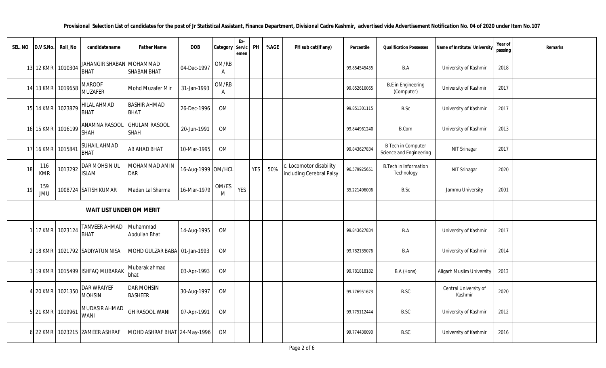| SEL. NO | D.V S.No.         | Roll_No | candidatename                           | Father Name                         | DOB                | Category Servio       | Ex-<br>emer | PH  | %AGE | PH sub cat(if any)                                  | Percentile   | <b>Qualification Possesses</b>                       | Name of Institute/ Universit     | Year of<br>passing | Remarks |
|---------|-------------------|---------|-----------------------------------------|-------------------------------------|--------------------|-----------------------|-------------|-----|------|-----------------------------------------------------|--------------|------------------------------------------------------|----------------------------------|--------------------|---------|
| 13      | 12 KMR            | 1010304 | JAHANGIR SHABAN MOHAMMAD<br><b>BHAT</b> | <b>SHABAN BHAT</b>                  | 04-Dec-1997        | OM/RB<br>$\mathsf{A}$ |             |     |      |                                                     | 99.854545455 | B.A                                                  | University of Kashmir            | 2018               |         |
|         | 14 13 KMR         | 1019658 | <b>MAROOF</b><br><b>MUZAFER</b>         | Mohd Muzafer Mir                    | 31-Jan-1993        | OM/RB<br>A            |             |     |      |                                                     | 99.852616065 | <b>B.E</b> in Engineering<br>(Computer)              | University of Kashmir            | 2017               |         |
|         | 15 14 KMR         | 1023879 | <b>HILAL AHMAD</b><br><b>BHAT</b>       | <b>BASHIR AHMAD</b><br><b>BHAT</b>  | 26-Dec-1996        | OM                    |             |     |      |                                                     | 99.851301115 | B.Sc                                                 | University of Kashmir            | 2017               |         |
|         | 16 15 KMR         | 1016199 | <b>ANAMNA RASOOL</b><br><b>SHAH</b>     | <b>GHULAM RASOOL</b><br>SHAH        | 20-Jun-1991        | OM                    |             |     |      |                                                     | 99.844961240 | <b>B.Com</b>                                         | University of Kashmir            | 2013               |         |
|         | 17 16 KMR         | 1015841 | <b>SUHAIL AHMAD</b><br><b>BHAT</b>      | AB AHAD BHAT                        | 10-Mar-1995        | OM                    |             |     |      |                                                     | 99.843627834 | <b>B Tech in Computer</b><br>Science and Engineering | NIT Srinagar                     | 2017               |         |
| 18      | 116<br><b>KMR</b> | 1013292 | <b>DAR MOHSIN UL</b><br><b>ISLAM</b>    | MOHAMMAD AMIN<br><b>DAR</b>         | 16-Aug-1999 OM/HCL |                       |             | YES | 50%  | c. Locomotor disability<br>including Cerebral Palsy | 96.579925651 | <b>B.Tech in Information</b><br>Technology           | NIT Srinagar                     | 2020               |         |
| 19      | 159<br><b>JMU</b> |         | 1008724 SATISH KUMAR                    | Madan Lal Sharma                    | 16-Mar-1979        | OM/ES<br>M            | <b>YES</b>  |     |      |                                                     | 35.221496006 | B.Sc                                                 | Jammu University                 | 2001               |         |
|         |                   |         | WAIT LIST UNDER OM MERIT                |                                     |                    |                       |             |     |      |                                                     |              |                                                      |                                  |                    |         |
|         | 1 17 KMR          | 1023124 | <b>TANVEER AHMAD</b><br><b>BHAT</b>     | Muhammad<br>Abdullah Bhat           | 14-Aug-1995        | OM                    |             |     |      |                                                     | 99.843627834 | B.A                                                  | University of Kashmir            | 2017               |         |
|         | 18 KMR            |         | 1021792 SADIYATUN NISA                  | MOHD GULZAR BABA                    | 01-Jan-1993        | <b>OM</b>             |             |     |      |                                                     | 99.782135076 | B.A                                                  | University of Kashmir            | 2014               |         |
|         | 19 KMR            | 1015499 | <b>ISHFAQ MUBARAK</b>                   | Mubarak ahmad<br>bhat               | 03-Apr-1993        | OM                    |             |     |      |                                                     | 99.781818182 | B.A (Hons)                                           | <b>Aligarh Muslim University</b> | 2013               |         |
|         | 20 KMR            | 1021350 | <b>DAR WRAIYEF</b><br><b>MOHSIN</b>     | <b>DAR MOHSIN</b><br><b>BASHEER</b> | 30-Aug-1997        | OM                    |             |     |      |                                                     | 99.776951673 | B.SC                                                 | Central University of<br>Kashmir | 2020               |         |
|         | 5 21 KMR          | 1019961 | MUDASIR AHMAD<br><b>WANI</b>            | <b>GH RASOOL WANI</b>               | 07-Apr-1991        | OM                    |             |     |      |                                                     | 99.775112444 | B.SC                                                 | University of Kashmir            | 2012               |         |
|         | 6 22 KMR          |         | 1023215 ZAMEER ASHRAF                   | MOHD ASHRAF BHAT 24-May-1996        |                    | <b>OM</b>             |             |     |      |                                                     | 99.774436090 | <b>B.SC</b>                                          | University of Kashmir            | 2016               |         |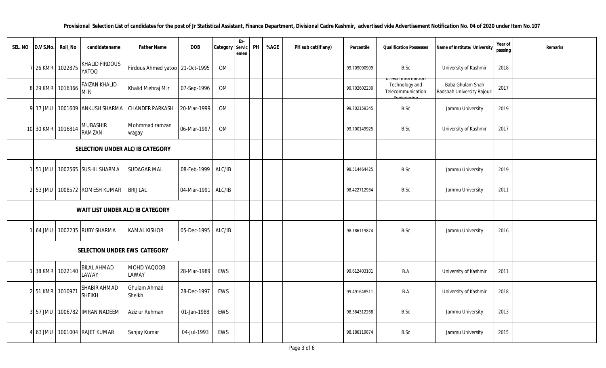| SEL. NO | D.V S.No. | Roll_No           | candidatename                         | Father Name                     | DOB         | Category | Ex-<br>Servic<br>emen | PH | %AGE | PH sub cat(if any) | Percentile   | <b>Qualification Possesses</b>      | Name of Institute/ University                  | Year of<br>passing | Remarks |
|---------|-----------|-------------------|---------------------------------------|---------------------------------|-------------|----------|-----------------------|----|------|--------------------|--------------|-------------------------------------|------------------------------------------------|--------------------|---------|
|         | 7 26 KMR  | 1022875           | <b>KHALID FIRDOUS</b><br><b>OOTAY</b> | Firdous Ahmed yatoo 21-Oct-1995 |             | OM       |                       |    |      |                    | 99.709090909 | B.Sc                                | University of Kashmir                          | 2018               |         |
|         |           | 8 29 KMR 1016366  | <b>FAIZAN KHALID</b><br><b>MIR</b>    | Khalid Mehraj Mir               | 07-Sep-1996 | OM       |                       |    |      |                    | 99.702602230 | Technology and<br>Telecommunication | Baba Ghulam Shah<br>Badshah University Rajouri | 2017               |         |
|         | 9 17 JMU  |                   | 1001609 ANKUSH SHARMA                 | <b>CHANDER PARKASH</b>          | 20-Mar-1999 | OM       |                       |    |      |                    | 99.702159345 | B.Sc                                | Jammu University                               | 2019               |         |
|         |           | 10 30 KMR 1016814 | <b>MUBASHIR</b><br>RAMZAN             | Mohmmad ramzan<br>wagay         | 06-Mar-1997 | OM       |                       |    |      |                    | 99.700149925 | B.Sc                                | University of Kashmir                          | 2017               |         |
|         |           |                   | SELECTION UNDER ALC/IB CATEGORY       |                                 |             |          |                       |    |      |                    |              |                                     |                                                |                    |         |
|         | 1 51 JMU  |                   | 1002565 SUSHIL SHARMA                 | <b>SUDAGAR MAL</b>              | 08-Feb-1999 | ALC/IB   |                       |    |      |                    | 98.514464425 | B.Sc                                | Jammu University                               | 2019               |         |
|         | 2 53 JMU  |                   | 1008572 ROMESH KUMAR                  | <b>BRIJ LAL</b>                 | 04-Mar-1991 | ALC/IB   |                       |    |      |                    | 98.422712934 | B.Sc                                | Jammu University                               | 2011               |         |
|         |           |                   | WAIT LIST UNDER ALC/IB CATEGORY       |                                 |             |          |                       |    |      |                    |              |                                     |                                                |                    |         |
|         | 64 JMU    |                   | 1002235 RUBY SHARMA                   | <b>KAMAL KISHOR</b>             | 05-Dec-1995 | ALC/IB   |                       |    |      |                    | 98.186119874 | B.Sc                                | Jammu University                               | 2016               |         |
|         |           |                   | SELECTION UNDER EWS CATEGORY          |                                 |             |          |                       |    |      |                    |              |                                     |                                                |                    |         |
|         | 38 KMR    | 1022140           | <b>BILAL AHMAD</b><br>LAWAY           | MOHD YAQOOB<br>LAWAY            | 28-Mar-1989 | EWS      |                       |    |      |                    | 99.612403101 | B.A                                 | University of Kashmir                          | 2011               |         |
|         | 2 51 KMR  | 1010971           | SHABIR AHMAD<br><b>SHEIKH</b>         | Ghulam Ahmad<br>Sheikh          | 28-Dec-1997 | EWS      |                       |    |      |                    | 99.491648511 | B.A                                 | University of Kashmir                          | 2018               |         |
|         | 3 57 JMU  |                   | 1006782 IMRAN NADEEM                  | Aziz ur Rehman                  | 01-Jan-1988 | EWS      |                       |    |      |                    | 98.364312268 | B.Sc                                | Jammu University                               | 2013               |         |
|         | $63$ JMU  | 1001004           | <b>RAJET KUMAR</b>                    | Sanjay Kumar                    | 04-Jul-1993 | EWS      |                       |    |      |                    | 98.186119874 | B.Sc                                | Jammu University                               | 2015               |         |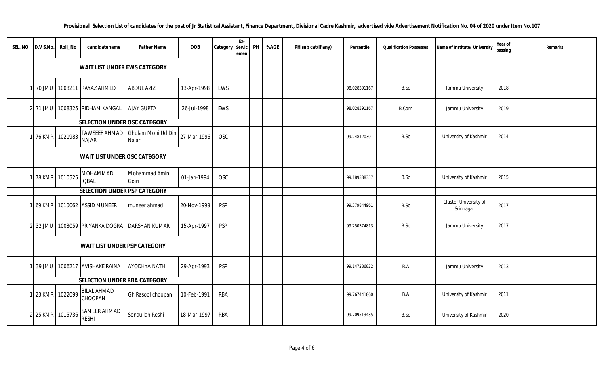| SEL. NO | $0.05$ .No. | Roll_No        | candidatename                        | <b>Father Name</b>          | <b>DOB</b>  | Category   | Ex-<br>Servic<br>emen | PH | %AGE | PH sub cat(if any) | Percentile   | <b>Qualification Possesses</b> | Name of Institute/ University      | Year of<br>passing | Remarks |
|---------|-------------|----------------|--------------------------------------|-----------------------------|-------------|------------|-----------------------|----|------|--------------------|--------------|--------------------------------|------------------------------------|--------------------|---------|
|         |             |                | WAIT LIST UNDER EWS CATEGORY         |                             |             |            |                       |    |      |                    |              |                                |                                    |                    |         |
|         | 70 JMU      |                | 1008211 RAYAZ AHMED                  | <b>ABDUL AZIZ</b>           | 13-Apr-1998 | EWS        |                       |    |      |                    | 98.028391167 | B.Sc                           | Jammu University                   | 2018               |         |
|         | 2 71 JMU    |                | 1008325 RIDHAM KANGAL                | <b>AJAY GUPTA</b>           | 26-Jul-1998 | EWS        |                       |    |      |                    | 98.028391167 | <b>B.Com</b>                   | Jammu University                   | 2019               |         |
|         |             |                | SELECTION UNDER OSC CATEGORY         |                             |             |            |                       |    |      |                    |              |                                |                                    |                    |         |
|         |             | 76 KMR 1021983 | <b>TAWSEEF AHMAD</b><br><b>NAJAR</b> | Ghulam Mohi Ud Din<br>Najar | 27-Mar-1996 | <b>OSC</b> |                       |    |      |                    | 99.248120301 | B.Sc                           | University of Kashmir              | 2014               |         |
|         |             |                | WAIT LIST UNDER OSC CATEGORY         |                             |             |            |                       |    |      |                    |              |                                |                                    |                    |         |
|         |             | 78 KMR 1010525 | MOHAMMAD<br><b>IQBAL</b>             | Mohammad Amin<br>Gojri      | 01-Jan-1994 | <b>OSC</b> |                       |    |      |                    | 99.189388357 | B.Sc                           | University of Kashmir              | 2015               |         |
|         |             |                | SELECTION UNDER PSP CATEGORY         |                             |             |            |                       |    |      |                    |              |                                |                                    |                    |         |
|         | 69 KMR      |                | 1010062 ASSID MUNEER                 | muneer ahmad                | 20-Nov-1999 | PSP        |                       |    |      |                    | 99.379844961 | B.Sc                           | Cluster University of<br>Srinnagar | 2017               |         |
|         | 32 JMU      |                | 1008059 PRIYANKA DOGRA               | <b>DARSHAN KUMAR</b>        | 15-Apr-1997 | PSP        |                       |    |      |                    | 99.250374813 | B.Sc                           | Jammu University                   | 2017               |         |
|         |             |                | WAIT LIST UNDER PSP CATEGORY         |                             |             |            |                       |    |      |                    |              |                                |                                    |                    |         |
|         | 39 JMU      |                | 1006217 AVISHAKE RAINA               | <b>AYODHYA NATH</b>         | 29-Apr-1993 | <b>PSP</b> |                       |    |      |                    | 99.147286822 | B.A                            | Jammu University                   | 2013               |         |
|         |             |                | SELECTION UNDER RBA CATEGORY         |                             |             |            |                       |    |      |                    |              |                                |                                    |                    |         |
|         | 23 KMR      | 1022099        | <b>BILAL AHMAD</b><br>CHOOPAN        | Gh Rasool choopan           | 10-Feb-1991 | <b>RBA</b> |                       |    |      |                    | 99.767441860 | B.A                            | University of Kashmir              | 2011               |         |
|         |             | 25 KMR 1015736 | SAMEER AHMAD<br><b>RESHI</b>         | Sonaullah Reshi             | 18-Mar-1997 | <b>RBA</b> |                       |    |      |                    | 99.709513435 | B.Sc                           | University of Kashmir              | 2020               |         |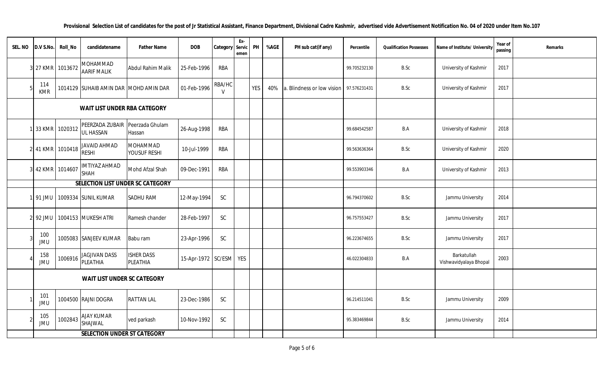| SEL. NO | D.V S.No.         | Roll_No          | candidatename                                | <b>Father Name</b>            | <b>DOB</b>         | Category               | Ex-<br>Servic<br>emen | PH         | %AGE | PH sub cat(if any)         | Percentile   | <b>Qualification Possesses</b> | Name of Institute/ University         | Year of<br>passing | Remarks |
|---------|-------------------|------------------|----------------------------------------------|-------------------------------|--------------------|------------------------|-----------------------|------------|------|----------------------------|--------------|--------------------------------|---------------------------------------|--------------------|---------|
|         | 27 KMR            | 1013672          | MOHAMMAD<br><b>AARIF MALIK</b>               | <b>Abdul Rahim Malik</b>      | 25-Feb-1996        | <b>RBA</b>             |                       |            |      |                            | 99.705232130 | B.Sc                           | University of Kashmir                 | 2017               |         |
|         | 114<br><b>KMR</b> |                  | 1014129 SUHAIB AMIN DAR MOHD AMIN DAR        |                               | 01-Feb-1996        | RBA/HC<br>$\mathsf{V}$ |                       | <b>YES</b> | 40%  | a. Blindness or low vision | 97.576231431 | B.Sc                           | University of Kashmir                 | 2017               |         |
|         |                   |                  | WAIT LIST UNDER RBA CATEGORY                 |                               |                    |                        |                       |            |      |                            |              |                                |                                       |                    |         |
|         | 33 KMR            | 1020312          | PEERZADA ZUBAIR Peerzada Ghulam<br>UL HASSAN | Hassan                        | 26-Aug-1998        | <b>RBA</b>             |                       |            |      |                            | 99.684542587 | B.A                            | University of Kashmir                 | 2018               |         |
|         |                   | 2 41 KMR 1010418 | JAVAID AHMAD<br>RESHI                        | MOHAMMAD<br>YOUSUF RESHI      | 10-Jul-1999        | <b>RBA</b>             |                       |            |      |                            | 99.563636364 | B.Sc                           | University of Kashmir                 | 2020               |         |
|         |                   | 3 42 KMR 1014607 | IMTIYAZ AHMAD<br><b>SHAH</b>                 | Mohd Afzal Shah               | 09-Dec-1991        | <b>RBA</b>             |                       |            |      |                            | 99.553903346 | B.A                            | University of Kashmir                 | 2013               |         |
|         |                   |                  | SELECTION LIST UNDER SC CATEGORY             |                               |                    |                        |                       |            |      |                            |              |                                |                                       |                    |         |
|         |                   |                  | 91 JMU 1009334 SUNIL KUMAR                   | SADHU RAM                     | 12-May-1994        | SC                     |                       |            |      |                            | 96.794370602 | B.Sc                           | Jammu University                      | 2014               |         |
|         |                   |                  | 2 92 JMU 1004153 MUKESH ATRI                 | Ramesh chander                | 28-Feb-1997        | SC                     |                       |            |      |                            | 96.757553427 | B.Sc                           | Jammu University                      | 2017               |         |
|         | 100<br><b>JMU</b> |                  | 1005083 SANJEEV KUMAR                        | Babu ram                      | 23-Apr-1996        | SC                     |                       |            |      |                            | 96.223674655 | B.Sc                           | Jammu University                      | 2017               |         |
|         | 158<br>JMU        | 1006916          | <b>JAGJIVAN DASS</b><br>PLEATHIA             | <b>ISHER DASS</b><br>PLEATHIA | 15-Apr-1972 SC/ESM |                        | YES                   |            |      |                            | 46.022304833 | B.A                            | Barkatullah<br>Vishwavidyalaya Bhopal | 2003               |         |
|         |                   |                  | WAIT LIST UNDER SC CATEGORY                  |                               |                    |                        |                       |            |      |                            |              |                                |                                       |                    |         |
|         | 101<br>JMU        |                  | 1004500 RAJNI DOGRA                          | <b>RATTAN LAL</b>             | 23-Dec-1986        | $\mathsf{SC}$          |                       |            |      |                            | 96.214511041 | B.Sc                           | Jammu University                      | 2009               |         |
|         | 105<br>JMU        | 1002843          | AJAY KUMAR<br>SHAJWAL                        | ved parkash                   | 10-Nov-1992        | $\mathsf{SC}$          |                       |            |      |                            | 95.383469844 | B.Sc                           | Jammu University                      | 2014               |         |
|         |                   |                  | SELECTION UNDER ST CATEGORY                  |                               |                    |                        |                       |            |      |                            |              |                                |                                       |                    |         |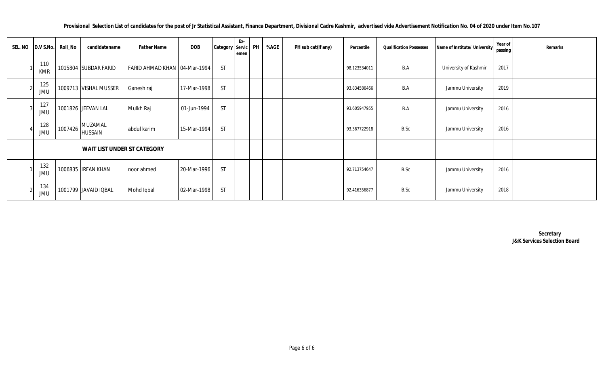**Provisional Selection List of candidates for the post of Jr Statistical Assistant, Finance Department, Divisional Cadre Kashmir, advertised vide Advertisement Notification No. 04 of 2020 under Item No.107**

| SEL. NO D.V S.No. | Roll_No | candidatename               | <b>Father Name</b>             | <b>DOB</b>  | Category Servic PH | Ex-<br>emen | %AGE | PH sub cat(if any) | Percentile   | <b>Qualification Possesses</b> | Name of Institute/ University | Year of<br>passing | Remarks |
|-------------------|---------|-----------------------------|--------------------------------|-------------|--------------------|-------------|------|--------------------|--------------|--------------------------------|-------------------------------|--------------------|---------|
| 110<br><b>KMR</b> |         | 1015804 SUBDAR FARID        | FARID AHMAD KHAN   04-Mar-1994 |             | <b>ST</b>          |             |      |                    | 98.123534011 | B.A                            | University of Kashmir         | 2017               |         |
| 125<br><b>JMU</b> |         | 1009713 VISHAL MUSSER       | Ganesh raj                     | 17-Mar-1998 | <b>ST</b>          |             |      |                    | 93.834586466 | B.A                            | Jammu University              | 2019               |         |
| 127<br><b>JMU</b> |         | 1001826 JEEVAN LAL          | Mulkh Raj                      | 01-Jun-1994 | <b>ST</b>          |             |      |                    | 93.605947955 | B.A                            | Jammu University              | 2016               |         |
| 128<br><b>JMU</b> | 1007426 | MUZAMAL<br><b>HUSSAIN</b>   | abdul karim                    | 15-Mar-1994 | <b>ST</b>          |             |      |                    | 93.367722918 | B.Sc                           | Jammu University              | 2016               |         |
|                   |         | WAIT LIST UNDER ST CATEGORY |                                |             |                    |             |      |                    |              |                                |                               |                    |         |
| 132<br><b>JMU</b> |         | 1006835 IRFAN KHAN          | noor ahmed                     | 20-Mar-1996 | <b>ST</b>          |             |      |                    | 92.713754647 | B.Sc                           | Jammu University              | 2016               |         |
| 134<br><b>JMU</b> |         | 1001799 JAVAID IQBAL        | Mohd Iqbal                     | 02-Mar-1998 | <b>ST</b>          |             |      |                    | 92.416356877 | B.Sc                           | Jammu University              | 2018               |         |

 **Secretary J&K Services Selection Board**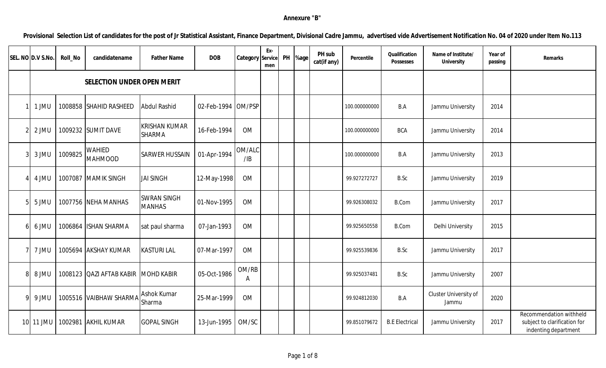## **Annexure "B"**

**Provisional Selection List of candidates for the post of Jr Statistical Assistant, Finance Department, Divisional Cadre Jammu, advertised vide Advertisement Notification No. 04 of 2020 under Item No.113**

| SEL. NO D.V S.No. | Roll_No | candidatename                       | <b>Father Name</b>                    | <b>DOB</b>         | Category      | Ex-<br>Service<br>men | PH | %age | PH sub<br>cat(if any) | Percentile    | Qualification<br>Possesses | Name of Institute/<br>University | Year of<br>passing | Remarks                                                                         |
|-------------------|---------|-------------------------------------|---------------------------------------|--------------------|---------------|-----------------------|----|------|-----------------------|---------------|----------------------------|----------------------------------|--------------------|---------------------------------------------------------------------------------|
|                   |         | SELECTION UNDER OPEN MERIT          |                                       |                    |               |                       |    |      |                       |               |                            |                                  |                    |                                                                                 |
| 1 JMU             |         | 1008858 SHAHID RASHEED              | <b>Abdul Rashid</b>                   | 02-Feb-1994 OM/PSP |               |                       |    |      |                       | 100.000000000 | B.A                        | Jammu University                 | 2014               |                                                                                 |
| 2 JMU             |         | 1009232 SUMIT DAVE                  | <b>KRISHAN KUMAR</b><br><b>SHARMA</b> | 16-Feb-1994        | <b>OM</b>     |                       |    |      |                       | 100.000000000 | <b>BCA</b>                 | Jammu University                 | 2014               |                                                                                 |
| 3 JMU             | 1009825 | <b>WAHIED</b><br><b>MAHMOOD</b>     | <b>SARWER HUSSAIN</b>                 | 01-Apr-1994        | OM/ALC<br>/IB |                       |    |      |                       | 100.000000000 | B.A                        | Jammu University                 | 2013               |                                                                                 |
| 4 JMU             |         | 1007087 MAMIK SINGH                 | <b>JAI SINGH</b>                      | 12-May-1998        | <b>OM</b>     |                       |    |      |                       | 99.927272727  | B.Sc                       | Jammu University                 | 2019               |                                                                                 |
| 5 JMU             |         | 1007756 NEHA MANHAS                 | <b>SWRAN SINGH</b><br><b>MANHAS</b>   | 01-Nov-1995        | <b>OM</b>     |                       |    |      |                       | 99.926308032  | <b>B.Com</b>               | Jammu University                 | 2017               |                                                                                 |
| 6 JMU             |         | 1006864 ISHAN SHARMA                | sat paul sharma                       | 07-Jan-1993        | <b>OM</b>     |                       |    |      |                       | 99.925650558  | <b>B.Com</b>               | Delhi University                 | 2015               |                                                                                 |
| 7 JMU             |         | 1005694 AKSHAY KUMAR                | <b>KASTURI LAL</b>                    | 07-Mar-1997        | <b>OM</b>     |                       |    |      |                       | 99.925539836  | B.Sc                       | Jammu University                 | 2017               |                                                                                 |
| 8 JMU             |         | 1008123 QAZI AFTAB KABIR MOHD KABIR |                                       | 05-Oct-1986        | OM/RB<br>A    |                       |    |      |                       | 99.925037481  | B.Sc                       | Jammu University                 | 2007               |                                                                                 |
| 9 JMU             |         | 1005516 VAIBHAW SHARMA              | <b>Ashok Kumar</b><br>Sharma          | 25-Mar-1999        | <b>OM</b>     |                       |    |      |                       | 99.924812030  | B.A                        | Cluster University of<br>Jammu   | 2020               |                                                                                 |
| 10 11 JMU         | 1002981 | <b>AKHIL KUMAR</b>                  | <b>GOPAL SINGH</b>                    | 13-Jun-1995        | OM/SC         |                       |    |      |                       | 99.851079672  | <b>B.E Electrical</b>      | Jammu University                 | 2017               | Recommendation withheld<br>subject to clarification for<br>indenting department |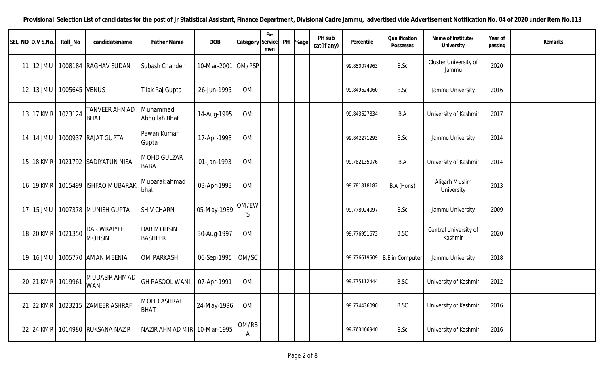**Provisional Selection List of candidates for the post of Jr Statistical Assistant, Finance Department, Divisional Cadre Jammu, advertised vide Advertisement Notification No. 04 of 2020 under Item No.113**

| SEL. NO D.V S.No. | Roll_No       | candidatename                        | <b>Father Name</b>                  | <b>DOB</b>         | Category Service | Ex-<br>men | PH | %age | PH sub<br>cat(if any) | Percentile   | Qualification<br>Possesses   | Name of Institute/<br>University | Year of<br>passing | Remarks |
|-------------------|---------------|--------------------------------------|-------------------------------------|--------------------|------------------|------------|----|------|-----------------------|--------------|------------------------------|----------------------------------|--------------------|---------|
| 11 12 JMU         | 1008184       | <b>RAGHAV SUDAN</b>                  | Subash Chander                      | 10-Mar-2001 OM/PSP |                  |            |    |      |                       | 99.850074963 | B.Sc                         | Cluster University of<br>Jammu   | 2020               |         |
| 12 13 JMU         | 1005645 VENUS |                                      | Tilak Raj Gupta                     | 26-Jun-1995        | <b>OM</b>        |            |    |      |                       | 99.849624060 | B.Sc                         | Jammu University                 | 2016               |         |
| 13 17 KMR         | 1023124       | <b>TANVEER AHMAD</b><br><b>BHAT</b>  | Muhammad<br>Abdullah Bhat           | 14-Aug-1995        | <b>OM</b>        |            |    |      |                       | 99.843627834 | B.A                          | University of Kashmir            | 2017               |         |
| 14 14 JMU         | 1000937       | <b>RAJAT GUPTA</b>                   | Pawan Kumar<br>Gupta                | 17-Apr-1993        | <b>OM</b>        |            |    |      |                       | 99.842271293 | B.Sc                         | Jammu University                 | 2014               |         |
| 15 18 KMR         |               | 1021792 SADIYATUN NISA               | <b>MOHD GULZAR</b><br><b>BABA</b>   | 01-Jan-1993        | <b>OM</b>        |            |    |      |                       | 99.782135076 | B.A                          | University of Kashmir            | 2014               |         |
|                   |               | 16 19 KMR   1015499   ISHFAQ MUBARAK | Mubarak ahmad<br>bhat               | 03-Apr-1993        | <b>OM</b>        |            |    |      |                       | 99.781818182 | B.A (Hons)                   | Aligarh Muslim<br>University     | 2013               |         |
| 17 15 JMU         |               | 1007378 MUNISH GUPTA                 | <b>SHIV CHARN</b>                   | 05-May-1989        | OM/EW<br>S.      |            |    |      |                       | 99.778924097 | B.Sc                         | Jammu University                 | 2009               |         |
| 18 20 KMR         | 1021350       | <b>DAR WRAIYEF</b><br><b>MOHSIN</b>  | <b>DAR MOHSIN</b><br><b>BASHEER</b> | 30-Aug-1997        | <b>OM</b>        |            |    |      |                       | 99.776951673 | <b>B.SC</b>                  | Central University of<br>Kashmir | 2020               |         |
| 19 16 JMU         |               | 1005770 AMAN MEENIA                  | <b>OM PARKASH</b>                   | 06-Sep-1995 OM/SC  |                  |            |    |      |                       |              | 99.776619509 B.E in Computer | Jammu University                 | 2018               |         |
| 20 21 KMR         | 1019961       | MUDASIR AHMAD<br><b>WANI</b>         | <b>GH RASOOL WANI</b>               | 07-Apr-1991        | <b>OM</b>        |            |    |      |                       | 99.775112444 | <b>B.SC</b>                  | University of Kashmir            | 2012               |         |
| 21 22 KMR         |               | 1023215 ZAMEER ASHRAF                | <b>MOHD ASHRAF</b><br><b>BHAT</b>   | 24-May-1996        | <b>OM</b>        |            |    |      |                       | 99.774436090 | <b>B.SC</b>                  | University of Kashmir            | 2016               |         |
| 22 24 KMR         | 1014980       | <b>RUKSANA NAZIR</b>                 | NAZIR AHMAD MIR 10-Mar-1995         |                    | OM/RB<br>A       |            |    |      |                       | 99.763406940 | B.Sc                         | University of Kashmir            | 2016               |         |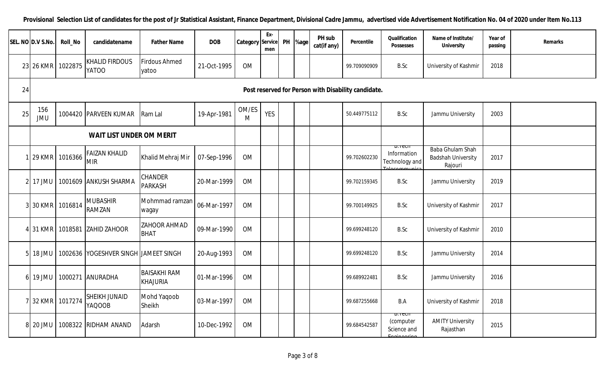|    | SEL. NO D.V S.No. | Roll_No | candidatename                         | <b>Father Name</b>               | <b>DOB</b>  | Category Service | Ex-<br>men | PH | %age | PH sub<br>cat(if any) | Percentile                                          | Qualification<br><b>Possesses</b>        | Name of Institute/<br>University                         | Year of<br>passing | Remarks |
|----|-------------------|---------|---------------------------------------|----------------------------------|-------------|------------------|------------|----|------|-----------------------|-----------------------------------------------------|------------------------------------------|----------------------------------------------------------|--------------------|---------|
|    | 23 26 KMR         | 1022875 | <b>KHALID FIRDOUS</b><br><b>YATOO</b> | <b>Firdous Ahmed</b><br>yatoo    | 21-Oct-1995 | <b>OM</b>        |            |    |      |                       | 99.709090909                                        | B.Sc                                     | University of Kashmir                                    | 2018               |         |
| 24 |                   |         |                                       |                                  |             |                  |            |    |      |                       | Post reserved for Person with Disability candidate. |                                          |                                                          |                    |         |
| 25 | 156<br><b>JMU</b> |         | 1004420 PARVEEN KUMAR                 | Ram Lal                          | 19-Apr-1981 | OM/ES<br>M       | <b>YES</b> |    |      |                       | 50.449775112                                        | B.Sc                                     | Jammu University                                         | 2003               |         |
|    |                   |         | WAIT LIST UNDER OM MERIT              |                                  |             |                  |            |    |      |                       |                                                     |                                          |                                                          |                    |         |
|    | 29 KMR            | 1016366 | <b>FAIZAN KHALID</b><br><b>MIR</b>    | Khalid Mehraj Mir                | 07-Sep-1996 | <b>OM</b>        |            |    |      |                       | 99.702602230                                        | ווטסו.ט<br>Information<br>Technology and | Baba Ghulam Shah<br><b>Badshah University</b><br>Rajouri | 2017               |         |
|    | 2 17 JMU          |         | 1001609 ANKUSH SHARMA                 | <b>CHANDER</b><br><b>PARKASH</b> | 20-Mar-1999 | OM               |            |    |      |                       | 99.702159345                                        | B.Sc                                     | Jammu University                                         | 2019               |         |
|    | 3 30 KMR          | 1016814 | <b>MUBASHIR</b><br><b>RAMZAN</b>      | Mohmmad ramzan<br>wagay          | 06-Mar-1997 | OM               |            |    |      |                       | 99.700149925                                        | B.Sc                                     | University of Kashmir                                    | 2017               |         |
|    | 4 31 KMR          | 1018581 | <b>ZAHID ZAHOOR</b>                   | ZAHOOR AHMAD<br><b>BHAT</b>      | 09-Mar-1990 | OM               |            |    |      |                       | 99.699248120                                        | B.Sc                                     | University of Kashmir                                    | 2010               |         |
|    | 18 JMU            |         | 1002636 YOGESHVER SINGH JAMEET SINGH  |                                  | 20-Aug-1993 | OM               |            |    |      |                       | 99.699248120                                        | B.Sc                                     | Jammu University                                         | 2014               |         |
| 61 | 19 JMU            |         | 1000271 ANURADHA                      | <b>BAISAKHI RAM</b><br>KHAJURIA  | 01-Mar-1996 | <b>OM</b>        |            |    |      |                       | 99.689922481                                        | B.Sc                                     | Jammu University                                         | 2016               |         |
|    | 7 32 KMR          | 1017274 | <b>SHEIKH JUNAID</b><br><b>YAQOOB</b> | Mohd Yaqoob<br>Sheikh            | 03-Mar-1997 | <b>OM</b>        |            |    |      |                       | 99.687255668                                        | B.A                                      | University of Kashmir                                    | 2018               |         |
|    | 8 20 JMU          | 1008322 | <b>RIDHAM ANAND</b>                   | Adarsh                           | 10-Dec-1992 | <b>OM</b>        |            |    |      |                       | 99.684542587                                        | דוסס הם<br>(computer<br>Science and      | <b>AMITY University</b><br>Rajasthan                     | 2015               |         |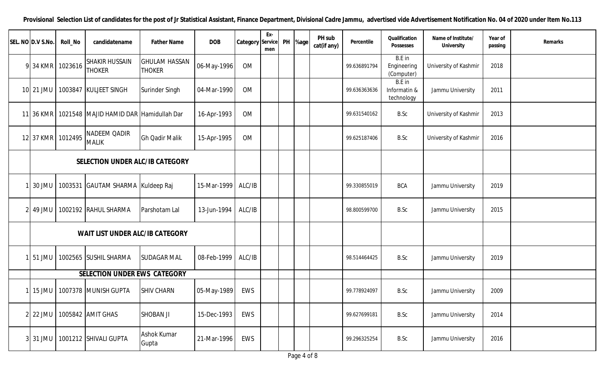| SEL. NO D.V S.No. | Roll_No | candidatename                          | <b>Father Name</b>                    | <b>DOB</b>  | <b>Category</b> Service | Ex-<br>men | PH | %age l | PH sub<br>cat(if any) | Percentile   | Qualification<br>Possesses           | Name of Institute/<br>University | Year of<br>passing | Remarks |
|-------------------|---------|----------------------------------------|---------------------------------------|-------------|-------------------------|------------|----|--------|-----------------------|--------------|--------------------------------------|----------------------------------|--------------------|---------|
| 9 34 KMR          | 1023616 | <b>SHAKIR HUSSAIN</b><br><b>THOKER</b> | <b>GHULAM HASSAN</b><br><b>THOKER</b> | 06-May-1996 | <b>OM</b>               |            |    |        |                       | 99.636891794 | B.E in<br>Engineering<br>(Computer)  | University of Kashmir            | 2018               |         |
| 10 21 JMU         |         | 1003847 KULJEET SINGH                  | Surinder Singh                        | 04-Mar-1990 | <b>OM</b>               |            |    |        |                       | 99.636363636 | B.E in<br>Informatin &<br>technology | Jammu University                 | 2011               |         |
| 11 36 KMR         |         | 1021548 MAJID HAMID DAR Hamidullah Dar |                                       | 16-Apr-1993 | <b>OM</b>               |            |    |        |                       | 99.631540162 | B.Sc                                 | University of Kashmir            | 2013               |         |
| 12 37 KMR         | 1012495 | NADEEM QADIR<br><b>MALIK</b>           | <b>Gh Qadir Malik</b>                 | 15-Apr-1995 | <b>OM</b>               |            |    |        |                       | 99.625187406 | B.Sc                                 | University of Kashmir            | 2016               |         |
|                   |         | SELECTION UNDER ALC/IB CATEGORY        |                                       |             |                         |            |    |        |                       |              |                                      |                                  |                    |         |
| 30 JMU            |         | 1003531 GAUTAM SHARMA Kuldeep Raj      |                                       | 15-Mar-1999 | ALC/IB                  |            |    |        |                       | 99.330855019 | <b>BCA</b>                           | Jammu University                 | 2019               |         |
| $2$ 49 JMU        |         | 1002192 RAHUL SHARMA                   | Parshotam Lal                         | 13-Jun-1994 | ALC/IB                  |            |    |        |                       | 98.800599700 | B.Sc                                 | Jammu University                 | 2015               |         |
|                   |         | WAIT LIST UNDER ALC/IB CATEGORY        |                                       |             |                         |            |    |        |                       |              |                                      |                                  |                    |         |
| 51 JMU            |         | 1002565 SUSHIL SHARMA                  | <b>SUDAGAR MAL</b>                    | 08-Feb-1999 | ALC/IB                  |            |    |        |                       | 98.514464425 | B.Sc                                 | Jammu University                 | 2019               |         |
|                   |         | SELECTION UNDER EWS CATEGORY           |                                       |             |                         |            |    |        |                       |              |                                      |                                  |                    |         |
| $15$ JMU          |         | 1007378 MUNISH GUPTA                   | <b>SHIV CHARN</b>                     | 05-May-1989 | EWS                     |            |    |        |                       | 99.778924097 | B.Sc                                 | Jammu University                 | 2009               |         |
| 2 22 JMU          |         | 1005842 AMIT GHAS                      | <b>SHOBAN JI</b>                      | 15-Dec-1993 | EWS                     |            |    |        |                       | 99.627699181 | B.Sc                                 | Jammu University                 | 2014               |         |
| 3 31 JMU          |         | 1001212 SHIVALI GUPTA                  | <b>Ashok Kumar</b><br>Gupta           | 21-Mar-1996 | EWS                     |            |    |        |                       | 99.296325254 | B.Sc                                 | Jammu University                 | 2016               |         |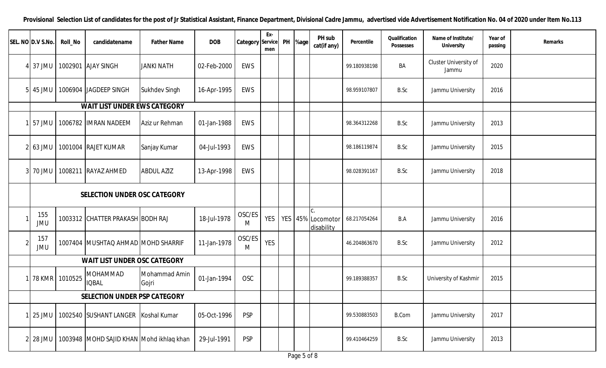| SEL. NO D.V S.No. | Roll_No                      | candidatename                            | <b>Father Name</b>     | <b>DOB</b>  | Category Service | Ex-<br>men | PH | %age | PH sub<br>cat(if any)           | Percentile   | Qualification<br>Possesses | Name of Institute/<br>University | Year of<br>passing | Remarks |
|-------------------|------------------------------|------------------------------------------|------------------------|-------------|------------------|------------|----|------|---------------------------------|--------------|----------------------------|----------------------------------|--------------------|---------|
| 37 JMU            |                              | 1002901 AJAY SINGH                       | <b>JANKI NATH</b>      | 02-Feb-2000 | EWS              |            |    |      |                                 | 99.180938198 | BA                         | Cluster University of<br>Jammu   | 2020               |         |
| 45 JMU            |                              | 1006904 JAGDEEP SINGH                    | <b>Sukhdev Singh</b>   | 16-Apr-1995 | EWS              |            |    |      |                                 | 98.959107807 | B.Sc                       | Jammu University                 | 2016               |         |
|                   |                              | <b>WAIT LIST UNDER EWS CATEGORY</b>      |                        |             |                  |            |    |      |                                 |              |                            |                                  |                    |         |
| 57 JMU            |                              | 1006782 IMRAN NADEEM                     | Aziz ur Rehman         | 01-Jan-1988 | EWS              |            |    |      |                                 | 98.364312268 | B.Sc                       | Jammu University                 | 2013               |         |
| $63$ JMU          |                              | 1001004 RAJET KUMAR                      | Sanjay Kumar           | 04-Jul-1993 | EWS              |            |    |      |                                 | 98.186119874 | B.Sc                       | Jammu University                 | 2015               |         |
| 70 JMU            |                              | 1008211 RAYAZ AHMED                      | <b>ABDUL AZIZ</b>      | 13-Apr-1998 | EWS              |            |    |      |                                 | 98.028391167 | B.Sc                       | Jammu University                 | 2018               |         |
|                   | SELECTION UNDER OSC CATEGORY |                                          |                        |             |                  |            |    |      |                                 |              |                            |                                  |                    |         |
| 155<br><b>JMU</b> |                              | 1003312 CHATTER PRAKASH BODH RAJ         |                        | 18-Jul-1978 | OSC/ES<br>M      | YES        |    |      | YES 45% Locomotor<br>disability | 68.217054264 | B.A                        | Jammu University                 | 2016               |         |
| 157<br><b>JMU</b> |                              | 1007404 MUSHTAQ AHMAD MOHD SHARRIF       |                        | 11-Jan-1978 | OSC/ES<br>M      | <b>YES</b> |    |      |                                 | 46.204863670 | B.Sc                       | Jammu University                 | 2012               |         |
|                   |                              | WAIT LIST UNDER OSC CATEGORY             |                        |             |                  |            |    |      |                                 |              |                            |                                  |                    |         |
|                   | 78 KMR 1010525               | <b>MOHAMMAD</b><br><b>IQBAL</b>          | Mohammad Amin<br>Gojri | 01-Jan-1994 | <b>OSC</b>       |            |    |      |                                 | 99.189388357 | B.Sc                       | University of Kashmir            | 2015               |         |
|                   |                              | SELECTION UNDER PSP CATEGORY             |                        |             |                  |            |    |      |                                 |              |                            |                                  |                    |         |
| 25 JMU            |                              | 1002540 SUSHANT LANGER Koshal Kumar      |                        | 05-Oct-1996 | <b>PSP</b>       |            |    |      |                                 | 99.530883503 | <b>B.Com</b>               | Jammu University                 | 2017               |         |
| 28 JMU            |                              | 1003948 MOHD SAJID KHAN Mohd ikhlaq khan |                        | 29-Jul-1991 | <b>PSP</b>       |            |    |      |                                 | 99.410464259 | B.Sc                       | Jammu University                 | 2013               |         |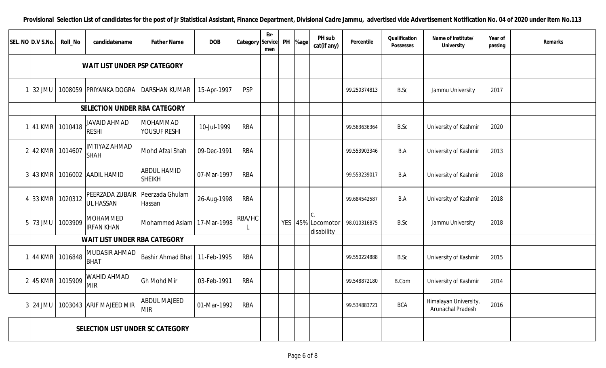| SEL. NO D.V S.No.                | Roll_No | candidatename                        | <b>Father Name</b>                  | <b>DOB</b>  | Category   | Ex-<br>Service<br>men | PH | %age | PH sub<br>cat(if any)                             | Percentile   | Qualification<br>Possesses | Name of Institute/<br>University           | Year of<br>passing | Remarks |
|----------------------------------|---------|--------------------------------------|-------------------------------------|-------------|------------|-----------------------|----|------|---------------------------------------------------|--------------|----------------------------|--------------------------------------------|--------------------|---------|
| WAIT LIST UNDER PSP CATEGORY     |         |                                      |                                     |             |            |                       |    |      |                                                   |              |                            |                                            |                    |         |
| 32 JMU                           |         | 1008059 PRIYANKA DOGRA               | <b>DARSHAN KUMAR</b>                | 15-Apr-1997 | <b>PSP</b> |                       |    |      |                                                   | 99.250374813 | B.Sc                       | Jammu University                           | 2017               |         |
| SELECTION UNDER RBA CATEGORY     |         |                                      |                                     |             |            |                       |    |      |                                                   |              |                            |                                            |                    |         |
| <b>41 KMR</b>                    | 1010418 | JAVAID AHMAD<br><b>RESHI</b>         | <b>MOHAMMAD</b><br>YOUSUF RESHI     | 10-Jul-1999 | <b>RBA</b> |                       |    |      |                                                   | 99.563636364 | B.Sc                       | University of Kashmir                      | 2020               |         |
| 42 KMR 1014607                   |         | <b>IMTIYAZ AHMAD</b><br><b>SHAH</b>  | Mohd Afzal Shah                     | 09-Dec-1991 | <b>RBA</b> |                       |    |      |                                                   | 99.553903346 | B.A                        | University of Kashmir                      | 2013               |         |
| 43 KMR                           |         | 1016002 AADIL HAMID                  | <b>ABDUL HAMID</b><br><b>SHEIKH</b> | 07-Mar-1997 | <b>RBA</b> |                       |    |      |                                                   | 99.553239017 | B.A                        | University of Kashmir                      | 2018               |         |
| 33 KMR                           | 1020312 | PEERZADA ZUBAIR<br><b>UL HASSAN</b>  | Peerzada Ghulam<br>Hassan           | 26-Aug-1998 | <b>RBA</b> |                       |    |      |                                                   | 99.684542587 | B.A                        | University of Kashmir                      | 2018               |         |
| 73 JMU                           | 1003909 | <b>MOHAMMED</b><br><b>IRFAN KHAN</b> | Mohammed Aslam                      | 17-Mar-1998 | RBA/HC     |                       |    |      | $\mathsf{C}$ .<br>YES 45% Locomotor<br>disability | 98.010316875 | B.Sc                       | Jammu University                           | 2018               |         |
| WAIT LIST UNDER RBA CATEGORY     |         |                                      |                                     |             |            |                       |    |      |                                                   |              |                            |                                            |                    |         |
| 44 KMR                           | 1016848 | MUDASIR AHMAD<br><b>BHAT</b>         | Bashir Ahmad Bhat   11-Feb-1995     |             | <b>RBA</b> |                       |    |      |                                                   | 99.550224888 | B.Sc                       | University of Kashmir                      | 2015               |         |
| 45 KMR                           | 1015909 | <b>WAHID AHMAD</b><br><b>MIR</b>     | <b>Gh Mohd Mir</b>                  | 03-Feb-1991 | <b>RBA</b> |                       |    |      |                                                   | 99.548872180 | <b>B.Com</b>               | University of Kashmir                      | 2014               |         |
| 24 JMU                           |         | 1003043 ARIF MAJEED MIR              | <b>ABDUL MAJEED</b><br><b>MIR</b>   | 01-Mar-1992 | <b>RBA</b> |                       |    |      |                                                   | 99.534883721 | <b>BCA</b>                 | Himalayan University,<br>Arunachal Pradesh | 2016               |         |
| SELECTION LIST UNDER SC CATEGORY |         |                                      |                                     |             |            |                       |    |      |                                                   |              |                            |                                            |                    |         |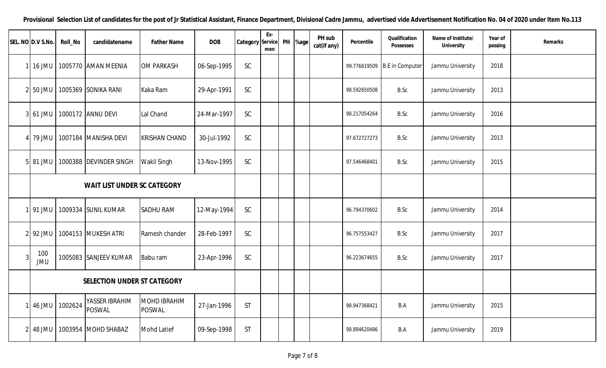|                                    | SEL. NO D.V S.No. | Roll_No | candidatename            | <b>Father Name</b>                   | <b>DOB</b>  | Category      | Ex-<br>Service<br>men | PH %age | PH sub<br>cat(if any) | Percentile   | Qualification<br>Possesses | Name of Institute/<br>University | Year of<br>passing | Remarks |
|------------------------------------|-------------------|---------|--------------------------|--------------------------------------|-------------|---------------|-----------------------|---------|-----------------------|--------------|----------------------------|----------------------------------|--------------------|---------|
|                                    | 16 JMU            |         | 1005770 AMAN MEENIA      | <b>OM PARKASH</b>                    | 06-Sep-1995 | $\mathsf{SC}$ |                       |         |                       | 99.776619509 | <b>B.E</b> in Computer     | Jammu University                 | 2018               |         |
| 21                                 | 50 JMU            |         | 1005369 SONIKA RANI      | Kaka Ram                             | 29-Apr-1991 | SC            |                       |         |                       | 98.592650508 | B.Sc                       | Jammu University                 | 2013               |         |
| 3 61 JMU                           |                   |         | 1000172 ANNU DEVI        | Lal Chand                            | 24-Mar-1997 | SC            |                       |         |                       | 98.217054264 | <b>B.Sc</b>                | Jammu University                 | 2016               |         |
|                                    | 79 JMU            |         | 1007184 MANISHA DEVI     | <b>KRISHAN CHAND</b>                 | 30-Jul-1992 | SC            |                       |         |                       | 97.672727273 | B.Sc                       | Jammu University                 | 2013               |         |
|                                    | 5 81 JMU          |         | 1000388 DEVINDER SINGH   | <b>Wakil Singh</b>                   | 13-Nov-1995 | <b>SC</b>     |                       |         |                       | 97.546468401 | B.Sc                       | Jammu University                 | 2015               |         |
| <b>WAIT LIST UNDER SC CATEGORY</b> |                   |         |                          |                                      |             |               |                       |         |                       |              |                            |                                  |                    |         |
|                                    | 91 JMU            |         | 1009334 SUNIL KUMAR      | <b>SADHU RAM</b>                     | 12-May-1994 | SC            |                       |         |                       | 96.794370602 | B.Sc                       | Jammu University                 | 2014               |         |
| 21                                 | 92 JMU            |         | 1004153 MUKESH ATRI      | Ramesh chander                       | 28-Feb-1997 | <b>SC</b>     |                       |         |                       | 96.757553427 | B.Sc                       | Jammu University                 | 2017               |         |
| 3                                  | 100<br><b>JMU</b> |         | 1005083 SANJEEV KUMAR    | Babu ram                             | 23-Apr-1996 | SC            |                       |         |                       | 96.223674655 | B.Sc                       | Jammu University                 | 2017               |         |
| SELECTION UNDER ST CATEGORY        |                   |         |                          |                                      |             |               |                       |         |                       |              |                            |                                  |                    |         |
|                                    | 46 JMU            | 1002624 | YASSER IBRAHIM<br>POSWAL | <b>MOHD IBRAHIM</b><br><b>POSWAL</b> | 27-Jan-1996 | <b>ST</b>     |                       |         |                       | 98.947368421 | B.A                        | Jammu University                 | 2015               |         |
| 2                                  | 48 JMU            | 1003954 | MOHD SHABAZ              | <b>Mohd Latief</b>                   | 09-Sep-1998 | <b>ST</b>     |                       |         |                       | 98.894620486 | B.A                        | Jammu University                 | 2019               |         |